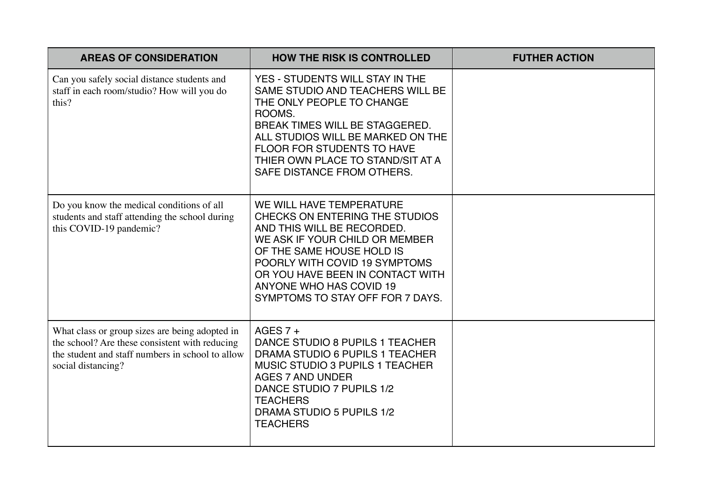| <b>AREAS OF CONSIDERATION</b>                                                                                                                                              | <b>HOW THE RISK IS CONTROLLED</b>                                                                                                                                                                                                                                                           | <b>FUTHER ACTION</b> |
|----------------------------------------------------------------------------------------------------------------------------------------------------------------------------|---------------------------------------------------------------------------------------------------------------------------------------------------------------------------------------------------------------------------------------------------------------------------------------------|----------------------|
| Can you safely social distance students and<br>staff in each room/studio? How will you do<br>this?                                                                         | YES - STUDENTS WILL STAY IN THE<br>SAME STUDIO AND TEACHERS WILL BE<br>THE ONLY PEOPLE TO CHANGE<br>ROOMS.<br>BREAK TIMES WILL BE STAGGERED.<br>ALL STUDIOS WILL BE MARKED ON THE<br><b>FLOOR FOR STUDENTS TO HAVE</b><br>THIER OWN PLACE TO STAND/SIT AT A<br>SAFE DISTANCE FROM OTHERS.   |                      |
| Do you know the medical conditions of all<br>students and staff attending the school during<br>this COVID-19 pandemic?                                                     | WE WILL HAVE TEMPERATURE<br>CHECKS ON ENTERING THE STUDIOS<br>AND THIS WILL BE RECORDED.<br>WE ASK IF YOUR CHILD OR MEMBER<br>OF THE SAME HOUSE HOLD IS<br>POORLY WITH COVID 19 SYMPTOMS<br>OR YOU HAVE BEEN IN CONTACT WITH<br>ANYONE WHO HAS COVID 19<br>SYMPTOMS TO STAY OFF FOR 7 DAYS. |                      |
| What class or group sizes are being adopted in<br>the school? Are these consistent with reducing<br>the student and staff numbers in school to allow<br>social distancing? | AGES $7 +$<br>DANCE STUDIO 8 PUPILS 1 TEACHER<br>DRAMA STUDIO 6 PUPILS 1 TEACHER<br><b>MUSIC STUDIO 3 PUPILS 1 TEACHER</b><br><b>AGES 7 AND UNDER</b><br>DANCE STUDIO 7 PUPILS 1/2<br><b>TEACHERS</b><br>DRAMA STUDIO 5 PUPILS 1/2<br><b>TEACHERS</b>                                       |                      |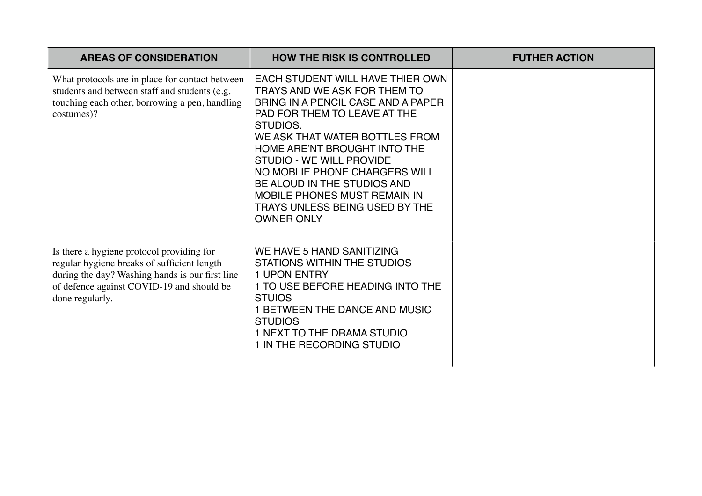| <b>AREAS OF CONSIDERATION</b>                                                                                                                                                                               | <b>HOW THE RISK IS CONTROLLED</b>                                                                                                                                                                                                                                                                                                                                                                              | <b>FUTHER ACTION</b> |
|-------------------------------------------------------------------------------------------------------------------------------------------------------------------------------------------------------------|----------------------------------------------------------------------------------------------------------------------------------------------------------------------------------------------------------------------------------------------------------------------------------------------------------------------------------------------------------------------------------------------------------------|----------------------|
| What protocols are in place for contact between<br>students and between staff and students (e.g.<br>touching each other, borrowing a pen, handling<br>costumes)?                                            | EACH STUDENT WILL HAVE THIER OWN<br>TRAYS AND WE ASK FOR THEM TO<br>BRING IN A PENCIL CASE AND A PAPER<br>PAD FOR THEM TO LEAVE AT THE<br>STUDIOS.<br>WE ASK THAT WATER BOTTLES FROM<br>HOME ARE'NT BROUGHT INTO THE<br>STUDIO - WE WILL PROVIDE<br>NO MOBLIE PHONE CHARGERS WILL<br>BE ALOUD IN THE STUDIOS AND<br><b>MOBILE PHONES MUST REMAIN IN</b><br>TRAYS UNLESS BEING USED BY THE<br><b>OWNER ONLY</b> |                      |
| Is there a hygiene protocol providing for<br>regular hygiene breaks of sufficient length<br>during the day? Washing hands is our first line<br>of defence against COVID-19 and should be<br>done regularly. | WE HAVE 5 HAND SANITIZING<br>STATIONS WITHIN THE STUDIOS<br><b>1 UPON ENTRY</b><br>1 TO USE BEFORE HEADING INTO THE<br><b>STUIOS</b><br>1 BETWEEN THE DANCE AND MUSIC<br><b>STUDIOS</b><br>1 NEXT TO THE DRAMA STUDIO<br>1 IN THE RECORDING STUDIO                                                                                                                                                             |                      |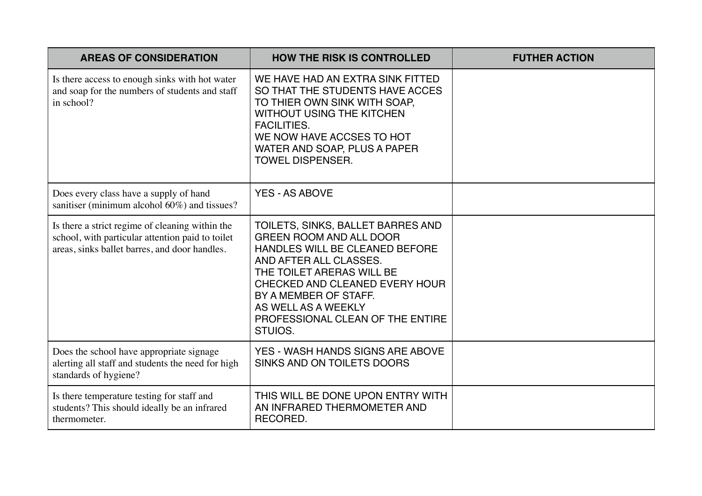| <b>AREAS OF CONSIDERATION</b>                                                                                                                        | <b>HOW THE RISK IS CONTROLLED</b>                                                                                                                                                                                                                                                             | <b>FUTHER ACTION</b> |
|------------------------------------------------------------------------------------------------------------------------------------------------------|-----------------------------------------------------------------------------------------------------------------------------------------------------------------------------------------------------------------------------------------------------------------------------------------------|----------------------|
| Is there access to enough sinks with hot water<br>and soap for the numbers of students and staff<br>in school?                                       | WE HAVE HAD AN EXTRA SINK FITTED<br>SO THAT THE STUDENTS HAVE ACCES<br>TO THIER OWN SINK WITH SOAP,<br><b>WITHOUT USING THE KITCHEN</b><br><b>FACILITIES.</b><br>WE NOW HAVE ACCSES TO HOT<br>WATER AND SOAP, PLUS A PAPER<br><b>TOWEL DISPENSER.</b>                                         |                      |
| Does every class have a supply of hand<br>sanitiser (minimum alcohol 60%) and tissues?                                                               | <b>YES - AS ABOVE</b>                                                                                                                                                                                                                                                                         |                      |
| Is there a strict regime of cleaning within the<br>school, with particular attention paid to toilet<br>areas, sinks ballet barres, and door handles. | TOILETS, SINKS, BALLET BARRES AND<br><b>GREEN ROOM AND ALL DOOR</b><br>HANDLES WILL BE CLEANED BEFORE<br>AND AFTER ALL CLASSES.<br>THE TOILET ARERAS WILL BE<br>CHECKED AND CLEANED EVERY HOUR<br>BY A MEMBER OF STAFF.<br>AS WELL AS A WEEKLY<br>PROFESSIONAL CLEAN OF THE ENTIRE<br>STUIOS. |                      |
| Does the school have appropriate signage<br>alerting all staff and students the need for high<br>standards of hygiene?                               | YES - WASH HANDS SIGNS ARE ABOVE<br>SINKS AND ON TOILETS DOORS                                                                                                                                                                                                                                |                      |
| Is there temperature testing for staff and<br>students? This should ideally be an infrared<br>thermometer.                                           | THIS WILL BE DONE UPON ENTRY WITH<br>AN INFRARED THERMOMETER AND<br>RECORED.                                                                                                                                                                                                                  |                      |